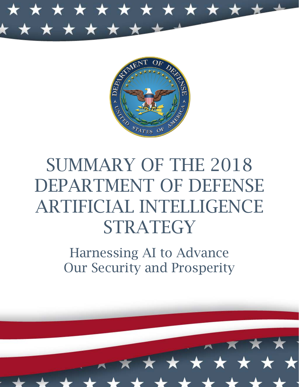



# SUMMARY OF THE 2018 DEPARTMENT OF DEFENSE ARTIFICIAL INTELLIGENCE **STRATEGY**

Harnessing AI to Advance Our Security and Prosperity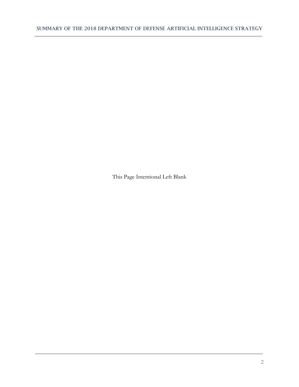This Page Intentional Left Blank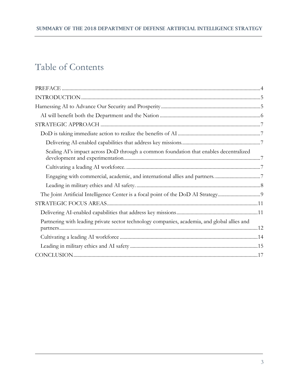# Table of Contents

| Scaling AI's impact across DoD through a common foundation that enables decentralized        |
|----------------------------------------------------------------------------------------------|
|                                                                                              |
| Engaging with commercial, academic, and international allies and partners. 7                 |
|                                                                                              |
|                                                                                              |
|                                                                                              |
|                                                                                              |
| Partnering with leading private sector technology companies, academia, and global allies and |
|                                                                                              |
|                                                                                              |
|                                                                                              |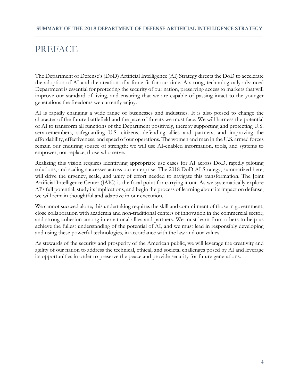## <span id="page-3-0"></span>PREFACE

The Department of Defense's (DoD) Artificial Intelligence (AI) Strategy directs the DoD to accelerate the adoption of AI and the creation of a force fit for our time. A strong, technologically advanced Department is essential for protecting the security of our nation, preserving access to markets that will improve our standard of living, and ensuring that we are capable of passing intact to the younger generations the freedoms we currently enjoy.

AI is rapidly changing a wide range of businesses and industries. It is also poised to change the character of the future battlefield and the pace of threats we must face. We will harness the potential of AI to transform all functions of the Department positively, thereby supporting and protecting U.S. servicemembers, safeguarding U.S. citizens, defending allies and partners, and improving the affordability, effectiveness, and speed of our operations. The women and men in the U.S. armed forces remain our enduring source of strength; we will use AI-enabled information, tools, and systems to empower, not replace, those who serve.

Realizing this vision requires identifying appropriate use cases for AI across DoD, rapidly piloting solutions, and scaling successes across our enterprise. The 2018 DoD AI Strategy, summarized here, will drive the urgency, scale, and unity of effort needed to navigate this transformation. The Joint Artificial Intelligence Center (JAIC) is the focal point for carrying it out. As we systematically explore AI's full potential, study its implications, and begin the process of learning about its impact on defense, we will remain thoughtful and adaptive in our execution.

We cannot succeed alone; this undertaking requires the skill and commitment of those in government, close collaboration with academia and non-traditional centers of innovation in the commercial sector, and strong cohesion among international allies and partners. We must learn from others to help us achieve the fullest understanding of the potential of AI, and we must lead in responsibly developing and using these powerful technologies, in accordance with the law and our values.

As stewards of the security and prosperity of the American public, we will leverage the creativity and agility of our nation to address the technical, ethical, and societal challenges posed by AI and leverage its opportunities in order to preserve the peace and provide security for future generations.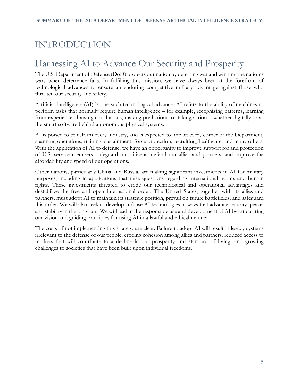# <span id="page-4-0"></span>INTRODUCTION

# <span id="page-4-1"></span>Harnessing AI to Advance Our Security and Prosperity

The U.S. Department of Defense (DoD) protects our nation by deterring war and winning the nation's wars when deterrence fails. In fulfilling this mission, we have always been at the forefront of technological advances to ensure an enduring competitive military advantage against those who threaten our security and safety.

Artificial intelligence (AI) is one such technological advance. AI refers to the ability of machines to perform tasks that normally require human intelligence – for example, recognizing patterns, learning from experience, drawing conclusions, making predictions, or taking action – whether digitally or as the smart software behind autonomous physical systems.

AI is poised to transform every industry, and is expected to impact every corner of the Department, spanning operations, training, sustainment, force protection, recruiting, healthcare, and many others. With the application of AI to defense, we have an opportunity to improve support for and protection of U.S. service members, safeguard our citizens, defend our allies and partners, and improve the affordability and speed of our operations.

Other nations, particularly China and Russia, are making significant investments in AI for military purposes, including in applications that raise questions regarding international norms and human rights. These investments threaten to erode our technological and operational advantages and destabilize the free and open international order. The United States, together with its allies and partners, must adopt AI to maintain its strategic position, prevail on future battlefields, and safeguard this order. We will also seek to develop and use AI technologies in ways that advance security, peace, and stability in the long run. We will lead in the responsible use and development of AI by articulating our vision and guiding principles for using AI in a lawful and ethical manner.

The costs of not implementing this strategy are clear. Failure to adopt AI will result in legacy systems irrelevant to the defense of our people, eroding cohesion among allies and partners, reduced access to markets that will contribute to a decline in our prosperity and standard of living, and growing challenges to societies that have been built upon individual freedoms.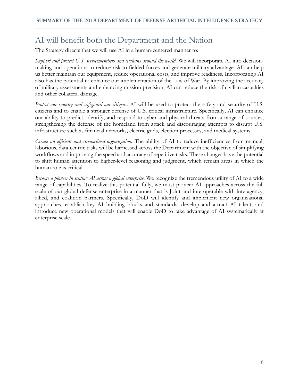### <span id="page-5-0"></span>AI will benefit both the Department and the Nation

The Strategy directs that we will use AI in a human-centered manner to:

*Support and protect U.S. servicemembers and civilians around the world*. We will incorporate AI into decisionmaking and operations to reduce risk to fielded forces and generate military advantage. AI can help us better maintain our equipment, reduce operational costs, and improve readiness. Incorporating AI also has the potential to enhance our implementation of the Law of War. By improving the accuracy of military assessments and enhancing mission precision, AI can reduce the risk of civilian casualties and other collateral damage.

*Protect our country and safeguard our citizens*. AI will be used to protect the safety and security of U.S. citizens and to enable a stronger defense of U.S. critical infrastructure. Specifically, AI can enhance our ability to predict, identify, and respond to cyber and physical threats from a range of sources, strengthening the defense of the homeland from attack and discouraging attempts to disrupt U.S. infrastructure such as financial networks, electric grids, election processes, and medical systems.

*Create an efficient and streamlined organization.* The ability of AI to reduce inefficiencies from manual, laborious, data-centric tasks will be harnessed across the Department with the objective of simplifying workflows and improving the speed and accuracy of repetitive tasks. These changes have the potential to shift human attention to higher-level reasoning and judgment, which remain areas in which the human role is critical.

*Become a pioneer in scaling AI across a global enterprise*. We recognize the tremendous utility of AI to a wide range of capabilities. To realize this potential fully, we must pioneer AI approaches across the full scale of our global defense enterprise in a manner that is Joint and interoperable with interagency, allied, and coalition partners. Specifically, DoD will identify and implement new organizational approaches, establish key AI building blocks and standards, develop and attract AI talent, and introduce new operational models that will enable DoD to take advantage of AI systematically at enterprise scale.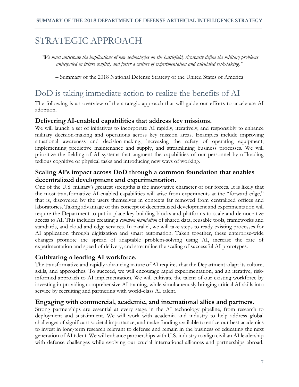# <span id="page-6-0"></span>STRATEGIC APPROACH

*"We must anticipate the implications of new technologies on the battlefield, rigorously define the military problems anticipated in future conflict, and foster a culture of experimentation and calculated risk-taking."* 

– Summary of the 2018 National Defense Strategy of the United States of America

### <span id="page-6-1"></span>DoD is taking immediate action to realize the benefits of AI

The following is an overview of the strategic approach that will guide our efforts to accelerate AI adoption.

#### <span id="page-6-2"></span>**Delivering AI-enabled capabilities that address key missions.**

We will launch a set of initiatives to incorporate AI rapidly, iteratively, and responsibly to enhance military decision-making and operations across key mission areas. Examples include improving situational awareness and decision-making, increasing the safety of operating equipment, implementing predictive maintenance and supply, and streamlining business processes. We will prioritize the fielding of AI systems that augment the capabilities of our personnel by offloading tedious cognitive or physical tasks and introducing new ways of working.

### <span id="page-6-3"></span>**Scaling AI's impact across DoD through a common foundation that enables decentralized development and experimentation.**

One of the U.S. military's greatest strengths is the innovative character of our forces. It is likely that the most transformative AI-enabled capabilities will arise from experiments at the "forward edge," that is, discovered by the users themselves in contexts far removed from centralized offices and laboratories. Taking advantage of this concept of decentralized development and experimentation will require the Department to put in place key building blocks and platforms to scale and democratize access to AI. This includes creating a *common foundation* of shared data, reusable tools, frameworks and standards, and cloud and edge services. In parallel, we will take steps to ready existing processes for AI application through digitization and smart automation. Taken together, these enterprise-wide changes promote the spread of adaptable problem-solving using AI, increase the rate of experimentation and speed of delivery, and streamline the scaling of successful AI prototypes.

### <span id="page-6-4"></span>**Cultivating a leading AI workforce.**

The transformative and rapidly advancing nature of AI requires that the Department adapt its culture, skills, and approaches. To succeed, we will encourage rapid experimentation, and an iterative, riskinformed approach to AI implementation. We will cultivate the talent of our existing workforce by investing in providing comprehensive AI training, while simultaneously bringing critical AI skills into service by recruiting and partnering with world-class AI talent.

### <span id="page-6-5"></span>**Engaging with commercial, academic, and international allies and partners.**

Strong partnerships are essential at every stage in the AI technology pipeline, from research to deployment and sustainment. We will work with academia and industry to help address global challenges of significant societal importance, and make funding available to entice our best academics to invest in long-term research relevant to defense and remain in the business of educating the next generation of AI talent. We will enhance partnerships with U.S. industry to align civilian AI leadership with defense challenges while evolving our crucial international alliances and partnerships abroad.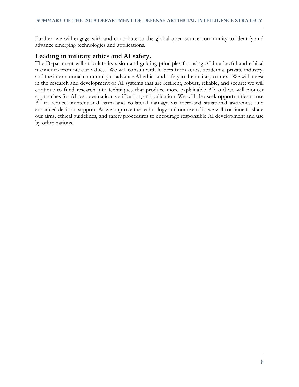Further, we will engage with and contribute to the global open-source community to identify and advance emerging technologies and applications.

#### <span id="page-7-0"></span>**Leading in military ethics and AI safety.**

The Department will articulate its vision and guiding principles for using AI in a lawful and ethical manner to promote our values. We will consult with leaders from across academia, private industry, and the international community to advance AI ethics and safety in the military context. We will invest in the research and development of AI systems that are resilient, robust, reliable, and secure; we will continue to fund research into techniques that produce more explainable AI; and we will pioneer approaches for AI test, evaluation, verification, and validation. We will also seek opportunities to use AI to reduce unintentional harm and collateral damage via increased situational awareness and enhanced decision support. As we improve the technology and our use of it, we will continue to share our aims, ethical guidelines, and safety procedures to encourage responsible AI development and use by other nations.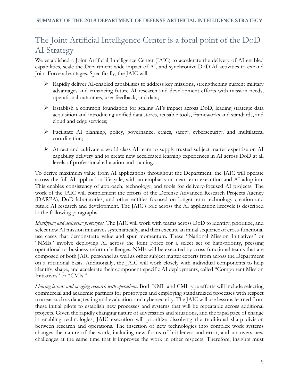# <span id="page-8-0"></span>The Joint Artificial Intelligence Center is a focal point of the DoD AI Strategy

We established a Joint Artificial Intelligence Center (JAIC) to accelerate the delivery of AI-enabled capabilities, scale the Department-wide impact of AI, and synchronize DoD AI activities to expand Joint Force advantages. Specifically, the JAIC will:

- $\triangleright$  Rapidly deliver AI-enabled capabilities to address key missions, strengthening current military advantages and enhancing future AI research and development efforts with mission needs, operational outcomes, user feedback, and data;
- Establish a common foundation for scaling AI's impact across DoD, leading strategic data acquisition and introducing unified data stores, reusable tools, frameworks and standards, and cloud and edge services;
- Facilitate AI planning, policy, governance, ethics, safety, cybersecurity, and multilateral coordination;
- $\triangleright$  Attract and cultivate a world-class AI team to supply trusted subject matter expertise on AI capability delivery and to create new accelerated learning experiences in AI across DoD at all levels of professional education and training.

To derive maximum value from AI applications throughout the Department, the JAIC will operate across the full AI application lifecycle, with an emphasis on near-term execution and AI adoption. This enables consistency of approach, technology, and tools for delivery-focused AI projects. The work of the JAIC will complement the efforts of the Defense Advanced Research Projects Agency (DARPA), DoD laboratories, and other entities focused on longer-term technology creation and future AI research and development. The JAIC's role across the AI application lifecycle is described in the following paragraphs.

*Identifying and delivering prototypes.* The JAIC will work with teams across DoD to identify, prioritize, and select new AI mission initiatives systematically, and then execute an initial sequence of cross-functional use cases that demonstrate value and spur momentum. These "National Mission Initiatives" or "NMIs" involve deploying AI across the Joint Force for a select set of high-priority, pressing operational or business reform challenges. NMIs will be executed by cross-functional teams that are composed of both JAIC personnel as well as other subject matter experts from across the Department on a rotational basis. Additionally, the JAIC will work closely with individual components to help identify, shape, and accelerate their component-specific AI deployments, called "Component Mission Initiatives" or "CMIs."

*Sharing lessons and merging research with operations.* Both NMI- and CMI-type efforts will include selecting commercial and academic partners for prototypes and employing standardized processes with respect to areas such as data, testing and evaluation, and cybersecurity. The JAIC will use lessons learned from these initial pilots to establish new processes and systems that will be repeatable across additional projects. Given the rapidly changing nature of adversaries and situations, and the rapid pace of change in enabling technologies, JAIC execution will prioritize dissolving the traditional sharp division between research and operations. The insertion of new technologies into complex work systems changes the nature of the work, including new forms of brittleness and error, and uncovers new challenges at the same time that it improves the work in other respects. Therefore, insights must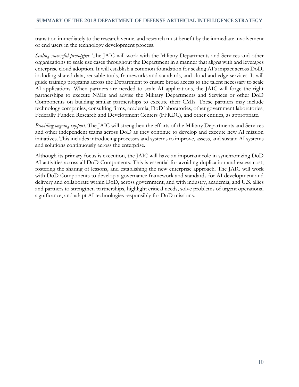transition immediately to the research venue, and research must benefit by the immediate involvement of end users in the technology development process.

*Scaling successful prototypes*. The JAIC will work with the Military Departments and Services and other organizations to scale use cases throughout the Department in a manner that aligns with and leverages enterprise cloud adoption. It will establish a common foundation for scaling AI's impact across DoD, including shared data, reusable tools, frameworks and standards, and cloud and edge services. It will guide training programs across the Department to ensure broad access to the talent necessary to scale AI applications. When partners are needed to scale AI applications, the JAIC will forge the right partnerships to execute NMIs and advise the Military Departments and Services or other DoD Components on building similar partnerships to execute their CMIs. These partners may include technology companies, consulting firms, academia, DoD laboratories, other government laboratories, Federally Funded Research and Development Centers (FFRDC), and other entities, as appropriate.

*Providing ongoing support*. The JAIC will strengthen the efforts of the Military Departments and Services and other independent teams across DoD as they continue to develop and execute new AI mission initiatives. This includes introducing processes and systems to improve, assess, and sustain AI systems and solutions continuously across the enterprise.

Although its primary focus is execution, the JAIC will have an important role in synchronizing DoD AI activities across all DoD Components. This is essential for avoiding duplication and excess cost, fostering the sharing of lessons, and establishing the new enterprise approach. The JAIC will work with DoD Components to develop a governance framework and standards for AI development and delivery and collaborate within DoD, across government, and with industry, academia, and U.S. allies and partners to strengthen partnerships, highlight critical needs, solve problems of urgent operational significance, and adapt AI technologies responsibly for DoD missions.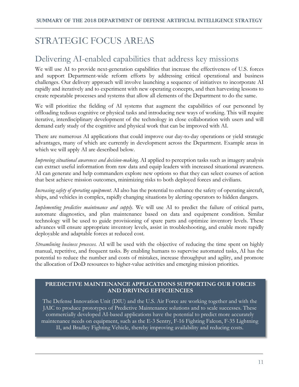# <span id="page-10-0"></span>STRATEGIC FOCUS AREAS

### <span id="page-10-1"></span>Delivering AI-enabled capabilities that address key missions

We will use AI to provide next-generation capabilities that increase the effectiveness of U.S. forces and support Department-wide reform efforts by addressing critical operational and business challenges. Our delivery approach will involve launching a sequence of initiatives to incorporate AI rapidly and iteratively and to experiment with new operating concepts, and then harvesting lessons to create repeatable processes and systems that allow all elements of the Department to do the same.

We will prioritize the fielding of AI systems that augment the capabilities of our personnel by offloading tedious cognitive or physical tasks and introducing new ways of working. This will require iterative, interdisciplinary development of the technology in close collaboration with users and will demand early study of the cognitive and physical work that can be improved with AI.

There are numerous AI applications that could improve our day-to-day operations or yield strategic advantages, many of which are currently in development across the Department. Example areas in which we will apply AI are described below.

*Improving situational awareness and decision-making*. AI applied to perception tasks such as imagery analysis can extract useful information from raw data and equip leaders with increased situational awareness. AI can generate and help commanders explore new options so that they can select courses of action that best achieve mission outcomes, minimizing risks to both deployed forces and civilians.

*Increasing safety of operating equipment*. AI also has the potential to enhance the safety of operating aircraft, ships, and vehicles in complex, rapidly changing situations by alerting operators to hidden dangers.

*Implementing predictive maintenance and supply*. We will use AI to predict the failure of critical parts, automate diagnostics, and plan maintenance based on data and equipment condition. Similar technology will be used to guide provisioning of spare parts and optimize inventory levels. These advances will ensure appropriate inventory levels, assist in troubleshooting, and enable more rapidly deployable and adaptable forces at reduced cost.

*Streamlining business processes.* AI will be used with the objective of reducing the time spent on highly manual, repetitive, and frequent tasks. By enabling humans to supervise automated tasks, AI has the potential to reduce the number and costs of mistakes, increase throughput and agility, and promote the allocation of DoD resources to higher-value activities and emerging mission priorities.

#### **PREDICTIVE MAINTENANCE APPLICATIONS SUPPORTING OUR FORCES AND DRIVING EFFICIENCIES**

The Defense Innovation Unit (DIU) and the U.S. Air Force are working together and with the JAIC to produce prototypes of Predictive Maintenance solutions and to scale successes. These commercially developed AI-based applications have the potential to predict more accurately maintenance needs on equipment, such as the E-3 Sentry, F-16 Fighting Falcon, F-35 Lightning II, and Bradley Fighting Vehicle, thereby improving availability and reducing costs.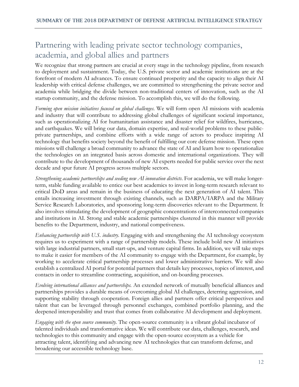### <span id="page-11-0"></span>Partnering with leading private sector technology companies, academia, and global allies and partners

We recognize that strong partners are crucial at every stage in the technology pipeline, from research to deployment and sustainment. Today, the U.S. private sector and academic institutions are at the forefront of modern AI advances. To ensure continued prosperity and the capacity to align their AI leadership with critical defense challenges, we are committed to strengthening the private sector and academia while bridging the divide between non-traditional centers of innovation, such as the AI startup community, and the defense mission. To accomplish this, we will do the following.

*Forming open mission initiatives focused on global challenges*. We will form open AI missions with academia and industry that will contribute to addressing global challenges of significant societal importance, such as operationalizing AI for humanitarian assistance and disaster relief for wildfires, hurricanes, and earthquakes. We will bring our data, domain expertise, and real-world problems to these publicprivate partnerships, and combine efforts with a wide range of actors to produce inspiring AI technology that benefits society beyond the benefit of fulfilling our core defense mission. These open missions will challenge a broad community to advance the state of AI and learn how to operationalize the technologies on an integrated basis across domestic and international organizations. They will contribute to the development of thousands of new AI experts needed for public service over the next decade and spur future AI progress across multiple sectors.

*Strengthening academic partnerships and seeding new AI innovation districts*. For academia, we will make longerterm, stable funding available to entice our best academics to invest in long-term research relevant to critical DoD areas and remain in the business of educating the next generation of AI talent. This entails increasing investment through existing channels, such as DARPA/IARPA and the Military Service Research Laboratories, and sponsoring long-term discoveries relevant to the Department. It also involves stimulating the development of geographic concentrations of interconnected companies and institutions in AI. Strong and stable academic partnerships clustered in this manner will provide benefits to the Department, industry, and national competiveness.

*Enhancing partnership with U.S. industry*. Engaging with and strengthening the AI technology ecosystem requires us to experiment with a range of partnership models. These include bold new AI initiatives with large industrial partners, small start-ups, and venture capital firms. In addition, we will take steps to make it easier for members of the AI community to engage with the Department, for example, by working to accelerate critical partnership processes and lower administrative barriers. We will also establish a centralized AI portal for potential partners that details key processes, topics of interest, and contacts in order to streamline contracting, acquisition, and on-boarding processes.

*Evolving international alliances and partnerships.* An extended network of mutually beneficial alliances and partnerships provides a durable means of overcoming global AI challenges, deterring aggression, and supporting stability through cooperation. Foreign allies and partners offer critical perspectives and talent that can be leveraged through personnel exchanges, combined portfolio planning, and the deepened interoperability and trust that comes from collaborative AI development and deployment.

*Engaging with the open source community.* The open-source community is a vibrant global incubator of talented individuals and transformative ideas. We will contribute our data, challenges, research, and technologies to this community and engage with the open-source ecosystem as a vehicle for attracting talent, identifying and advancing new AI technologies that can transform defense, and broadening our accessible technology base.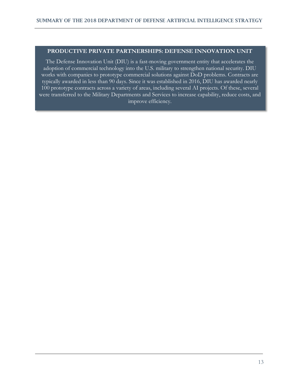#### **PRODUCTIVE PRIVATE PARTNERSHIPS: DEFENSE INNOVATION UNIT**

The Defense Innovation Unit (DIU) is a fast-moving government entity that accelerates the adoption of commercial technology into the U.S. military to strengthen national security. DIU works with companies to prototype commercial solutions against DoD problems. Contracts are typically awarded in less than 90 days. Since it was established in 2016, DIU has awarded nearly 100 prototype contracts across a variety of areas, including several AI projects. Of these, several were transferred to the Military Departments and Services to increase capability, reduce costs, and improve efficiency.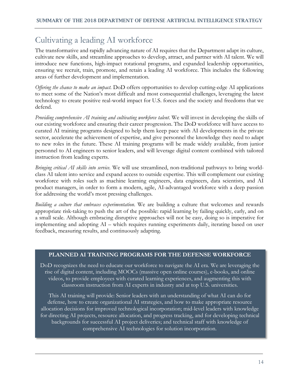## <span id="page-13-0"></span>Cultivating a leading AI workforce

The transformative and rapidly advancing nature of AI requires that the Department adapt its culture, cultivate new skills, and streamline approaches to develop, attract, and partner with AI talent. We will introduce new functions, high-impact rotational programs, and expanded leadership opportunities, ensuring we recruit, train, promote, and retain a leading AI workforce. This includes the following areas of further development and implementation.

*Offering the chance to make an impact*. DoD offers opportunities to develop cutting-edge AI applications to meet some of the Nation's most difficult and most consequential challenges, leveraging the latest technology to create positive real-world impact for U.S. forces and the society and freedoms that we defend.

*Providing comprehensive AI training and cultivating workforce talent*. We will invest in developing the skills of our existing workforce and ensuring their career progression. The DoD workforce will have access to curated AI training programs designed to help them keep pace with AI developments in the private sector, accelerate the achievement of expertise, and give personnel the knowledge they need to adapt to new roles in the future. These AI training programs will be made widely available, from junior personnel to AI engineers to senior leaders, and will leverage digital content combined with tailored instruction from leading experts.

*Bringing critical AI skills into service.* We will use streamlined, non-traditional pathways to bring worldclass AI talent into service and expand access to outside expertise. This will complement our existing workforce with roles such as machine learning engineers, data engineers, data scientists, and AI product managers, in order to form a modern, agile, AI-advantaged workforce with a deep passion for addressing the world's most pressing challenges.

*Building a culture that embraces experimentation*. We are building a culture that welcomes and rewards appropriate risk-taking to push the art of the possible: rapid learning by failing quickly, early, and on a small scale. Although embracing disruptive approaches will not be easy, doing so is imperative for implementing and adopting AI – which requires running experiments daily, iterating based on user feedback, measuring results, and continuously adapting.

#### **PLANNED AI TRAINING PROGRAMS FOR THE DEFENSE WORKFORCE**

DoD recognizes the need to educate our workforce to navigate the AI era. We are leveraging the rise of digital content, including MOOCs (massive open online courses), e-books, and online videos, to provide employees with curated learning experiences, and augmenting this with classroom instruction from AI experts in industry and at top U.S. universities.

This AI training will provide: Senior leaders with an understanding of what AI can do for defense, how to create organizational AI strategies, and how to make appropriate resource allocation decisions for improved technological incorporation; mid-level leaders with knowledge for directing AI projects, resource allocation, and progress tracking, and for developing technical backgrounds for successful AI project deliveries; and technical staff with knowledge of comprehensive AI technologies for solution incorporation.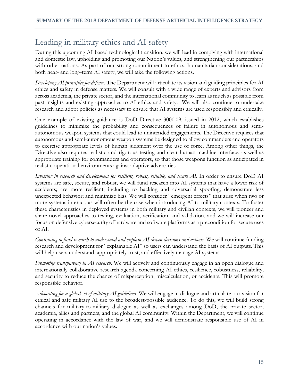# <span id="page-14-0"></span>Leading in military ethics and AI safety

During this upcoming AI-based technological transition, we will lead in complying with international and domestic law, upholding and promoting our Nation's values, and strengthening our partnerships with other nations. As part of our strong commitment to ethics, humanitarian considerations, and both near- and long-term AI safety, we will take the following actions.

*Developing AI principles for defense*. The Department will articulate its vision and guiding principles for AI ethics and safety in defense matters. We will consult with a wide range of experts and advisors from across academia, the private sector, and the international community to learn as much as possible from past insights and existing approaches to AI ethics and safety. We will also continue to undertake research and adopt policies as necessary to ensure that AI systems are used responsibly and ethically.

One example of existing guidance is DoD Directive 3000.09, issued in 2012, which establishes guidelines to minimize the probability and consequences of failure in autonomous and semiautonomous weapon systems that could lead to unintended engagements. The Directive requires that autonomous and semi-autonomous weapon systems be designed to allow commanders and operators to exercise appropriate levels of human judgment over the use of force. Among other things, the Directive also requires realistic and rigorous testing and clear human-machine interface, as well as appropriate training for commanders and operators, so that those weapons function as anticipated in realistic operational environments against adaptive adversaries.

*Investing in research and development for resilient, robust, reliable, and secure AI*. In order to ensure DoD AI systems are safe, secure, and robust, we will fund research into AI systems that have a lower risk of accidents; are more resilient, including to hacking and adversarial spoofing; demonstrate less unexpected behavior; and minimize bias. We will consider "emergent effects" that arise when two or more systems interact, as will often be the case when introducing AI to military contexts. To foster these characteristics in deployed systems in both military and civilian contexts, we will pioneer and share novel approaches to testing, evaluation, verification, and validation, and we will increase our focus on defensive cybersecurity of hardware and software platforms as a precondition for secure uses of AI.

*Continuing to fund research to understand and explain AI-driven decisions and actions*. We will continue funding research and development for "explainable AI" so users can understand the basis of AI outputs. This will help users understand, appropriately trust, and effectively manage AI systems.

*Promoting transparency in AI research*. We will actively and continuously engage in an open dialogue and internationally collaborative research agenda concerning AI ethics, resilience, robustness, reliability, and security to reduce the chance of misperception, miscalculation, or accidents. This will promote responsible behavior.

*Advocating for a global set of military AI guidelines*. We will engage in dialogue and articulate our vision for ethical and safe military AI use to the broadest-possible audience. To do this, we will build strong channels for military-to-military dialogue as well as exchanges among DoD, the private sector, academia, allies and partners, and the global AI community. Within the Department, we will continue operating in accordance with the law of war, and we will demonstrate responsible use of AI in accordance with our nation's values.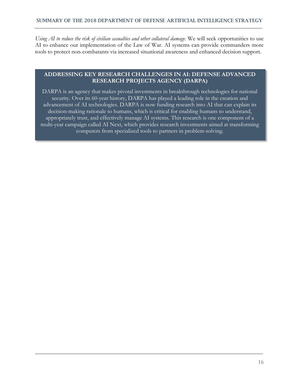*Using AI to reduce the risk of civilian casualties and other collateral damage*. We will seek opportunities to use AI to enhance our implementation of the Law of War. AI systems can provide commanders more tools to protect non-combatants via increased situational awareness and enhanced decision support.

#### **ADDRESSING KEY RESEARCH CHALLENGES IN AI: DEFENSE ADVANCED RESEARCH PROJECTS AGENCY (DARPA)**

DARPA is an agency that makes pivotal investments in breakthrough technologies for national security. Over its 60-year history, DARPA has played a leading role in the creation and advancement of AI technologies. DARPA is now funding research into AI that can explain its decision-making rationale to humans, which is critical for enabling humans to understand, appropriately trust, and effectively manage AI systems. This research is one component of a multi-year campaign called AI Next, which provides research investments aimed at transforming computers from specialized tools to partners in problem-solving.